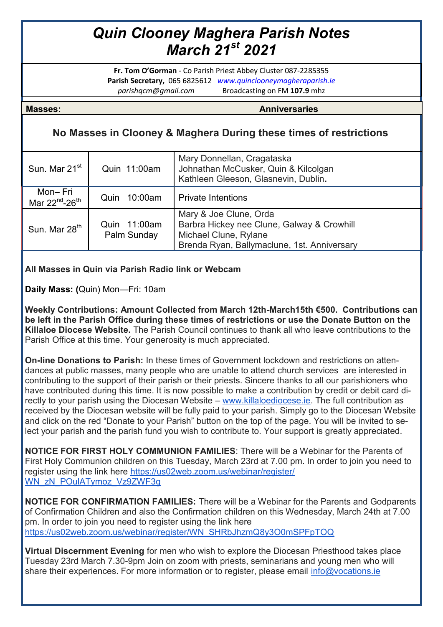## *Quin Clooney Maghera Parish Notes March 21st 2021*

**Fr. Tom O'Gorman** - Co Parish Priest Abbey Cluster 087-2285355 **Parish Secretary,** 065 6825612 *www.quinclooneymagheraparish.ie parishqcm@gmail.com* Broadcasting on FM **107.9** mhz

**Masses: Anniversaries**

## **No Masses in Clooney & Maghera During these times of restrictions**

| Sun. Mar 21 <sup>st</sup>                         | Quin 11:00am                | Mary Donnellan, Cragataska<br>Johnathan McCusker, Quin & Kilcolgan<br>Kathleen Gleeson, Glasnevin, Dublin.                                   |
|---------------------------------------------------|-----------------------------|----------------------------------------------------------------------------------------------------------------------------------------------|
| Mon-Fri<br>Mar 22 <sup>nd</sup> -26 <sup>th</sup> | 10:00am<br>Quin             | <b>Private Intentions</b>                                                                                                                    |
| Sun. Mar 28 <sup>th</sup>                         | Quin 11:00am<br>Palm Sunday | Mary & Joe Clune, Orda<br>Barbra Hickey nee Clune, Galway & Crowhill<br>Michael Clune, Rylane<br>Brenda Ryan, Ballymaclune, 1st. Anniversary |

## **All Masses in Quin via Parish Radio link or Webcam**

**Daily Mass: (**Quin) Mon—Fri: 10am

**Weekly Contributions: Amount Collected from March 12th-March15th €500. Contributions can be left in the Parish Office during these times of restrictions or use the Donate Button on the Killaloe Diocese Website.** The Parish Council continues to thank all who leave contributions to the Parish Office at this time. Your generosity is much appreciated.

**On-line Donations to Parish:** In these times of Government lockdown and restrictions on attendances at public masses, many people who are unable to attend church services are interested in contributing to the support of their parish or their priests. Sincere thanks to all our parishioners who have contributed during this time. It is now possible to make a contribution by credit or debit card directly to your parish using the Diocesan Website – [www.killaloediocese.ie.](http://www.killaloediocese.ie/) The full contribution as received by the Diocesan website will be fully paid to your parish. Simply go to the Diocesan Website and click on the red "Donate to your Parish" button on the top of the page. You will be invited to select your parish and the parish fund you wish to contribute to. Your support is greatly appreciated.

**NOTICE FOR FIRST HOLY COMMUNION FAMILIES**: There will be a Webinar for the Parents of First Holy Communion children on this Tuesday, March 23rd at 7.00 pm. In order to join you need to register using the link here [https://us02web.zoom.us/webinar/register/](https://us02web.zoom.us/webinar/register/WN_zN_POulATymoz_Vz9ZWF3g) [WN\\_zN\\_POulATymoz\\_Vz9ZWF3g](https://us02web.zoom.us/webinar/register/WN_zN_POulATymoz_Vz9ZWF3g)

**NOTICE FOR CONFIRMATION FAMILIES:** There will be a Webinar for the Parents and Godparents of Confirmation Children and also the Confirmation children on this Wednesday, March 24th at 7.00 pm. In order to join you need to register using the link here [https://us02web.zoom.us/webinar/register/WN\\_SHRbJhzmQ8y3O0mSPFpTOQ](https://us02web.zoom.us/webinar/register/WN_SHRbJhzmQ8y3O0mSPFpTOQ)

**Virtual Discernment Evening** for men who wish to explore the Diocesan Priesthood takes place Tuesday 23rd March 7.30-9pm Join on zoom with priests, seminarians and young men who will share their experiences. For more information or to register, please email [info@vocations.ie](mailto:info@vocations.ie)